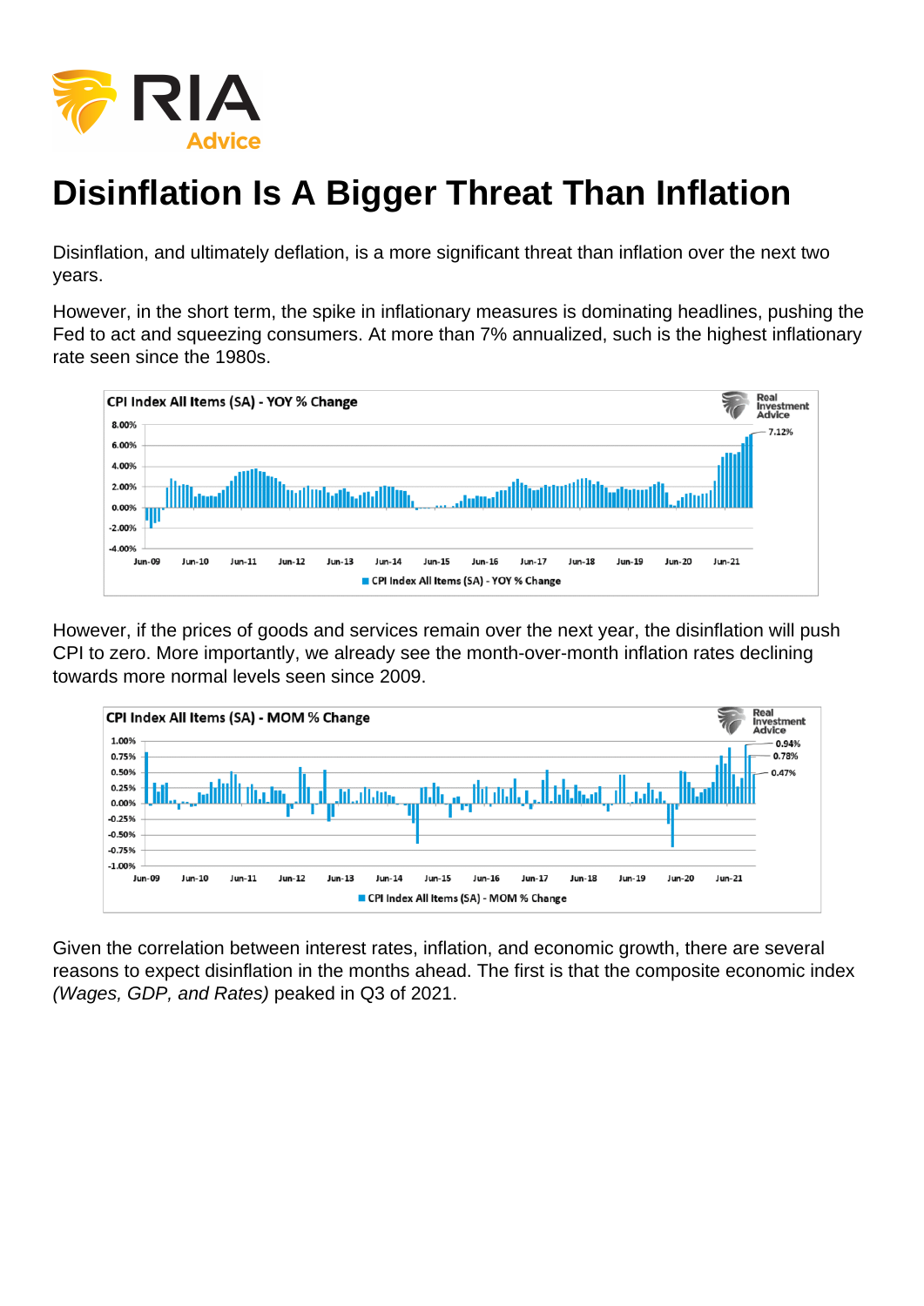## Disinflation Is A Bigger Threat Than Inflation

Disinflation, and ultimately deflation, is a more significant threat than inflation over the next two years.

However, in the short term, the spike in inflationary measures is dominating headlines, pushing the Fed to act and squeezing consumers. At more than 7% annualized, such is the highest inflationary rate seen since the 1980s.

However, if the prices of goods and services remain over the next year, the disinflation will push CPI to zero. More importantly, we already see the month-over-month inflation rates declining towards more normal levels seen since 2009.

Given the correlation between interest rates, inflation, and economic growth, there are several reasons to expect disinflation in the months ahead. The first is that the composite economic index (Wages, GDP, and Rates) peaked in Q3 of 2021.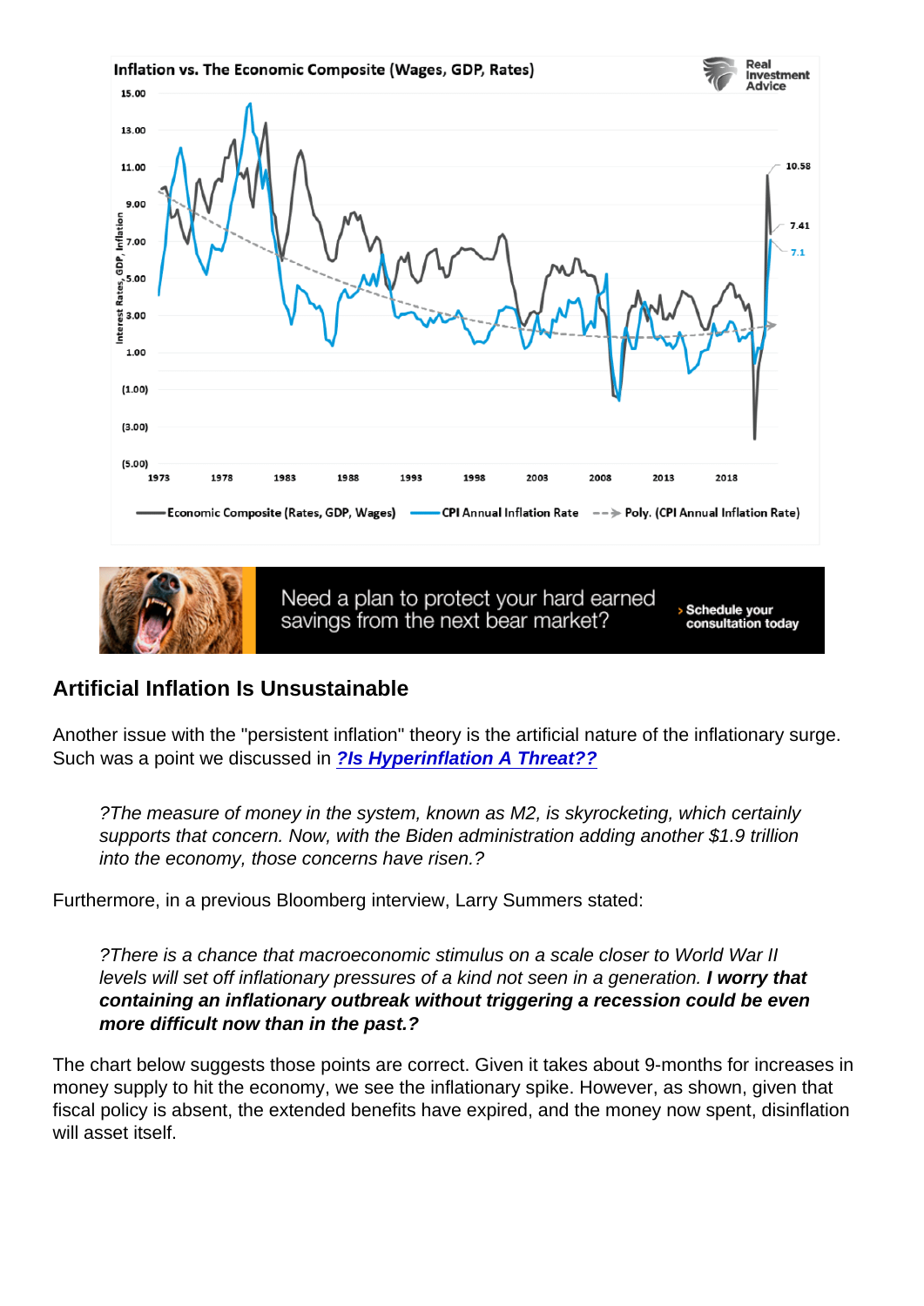Artificial Inflation Is Unsustainable

Another issue with the "persistent inflation" theory is the artificial nature of the inflationary surge. Such was a point we discussed in [?Is Hyperinflation A Threat??](https://realinvestmentadvice.com/macroview-is-hyperinflation-really-a-threat/)

?The measure of money in the system, known as M2, is skyrocketing, which certainly supports that concern. Now, with the Biden administration adding another \$1.9 trillion into the economy, those concerns have risen.?

Furthermore, in a previous Bloomberg interview, Larry Summers stated:

?There is a chance that macroeconomic stimulus on a scale closer to World War II levels will set off inflationary pressures of a kind not seen in a generation. I worry that containing an inflationary outbreak without triggering a recession could be even more difficult now than in the past.?

The chart below suggests those points are correct. Given it takes about 9-months for increases in money supply to hit the economy, we see the inflationary spike. However, as shown, given that fiscal policy is absent, the extended benefits have expired, and the money now spent, disinflation will asset itself.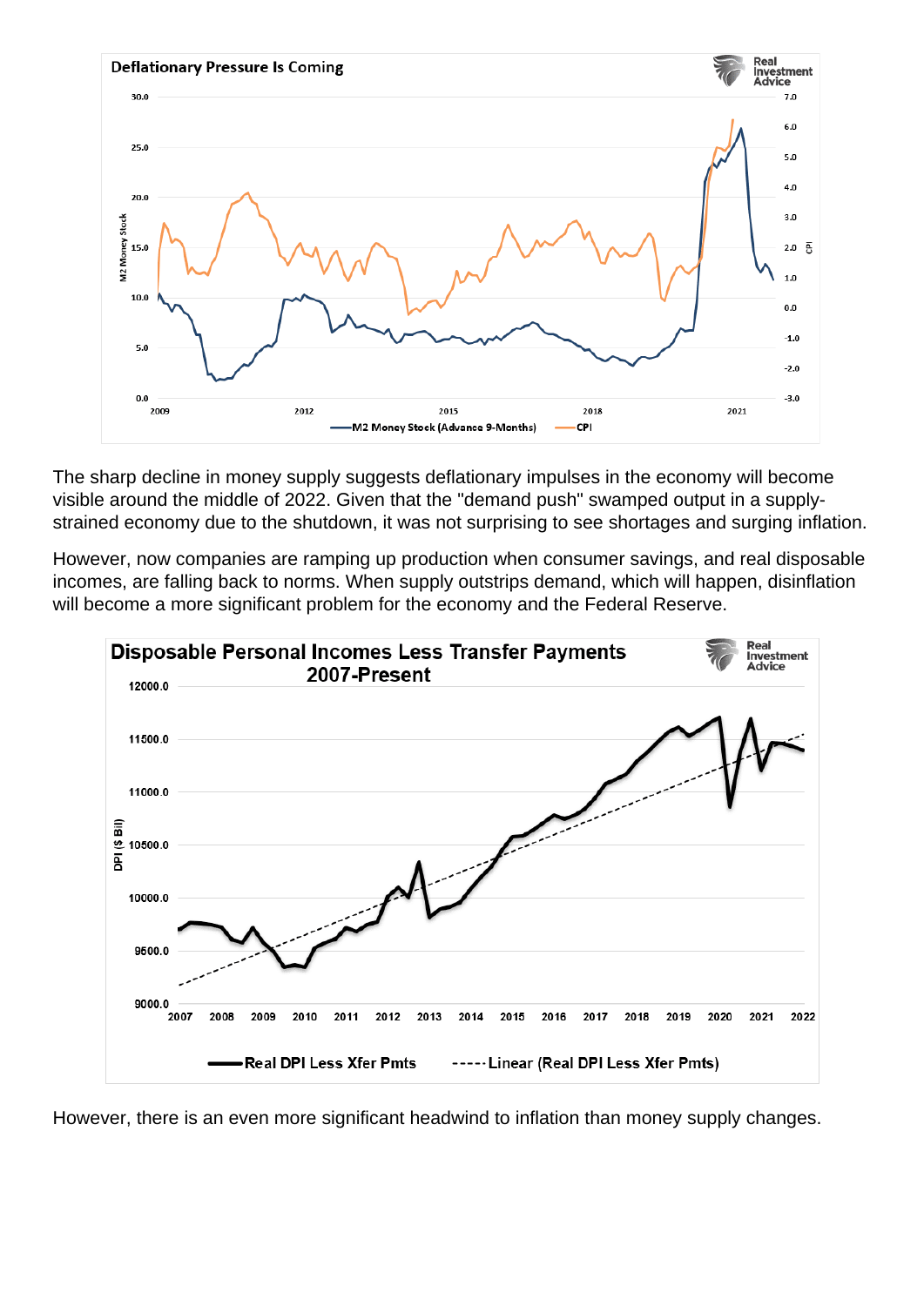The sharp decline in money supply suggests deflationary impulses in the economy will become visible around the middle of 2022. Given that the "demand push" swamped output in a supplystrained economy due to the shutdown, it was not surprising to see shortages and surging inflation.

However, now companies are ramping up production when consumer savings, and real disposable incomes, are falling back to norms. When supply outstrips demand, which will happen, disinflation will become a more significant problem for the economy and the Federal Reserve.

However, there is an even more significant headwind to inflation than money supply changes.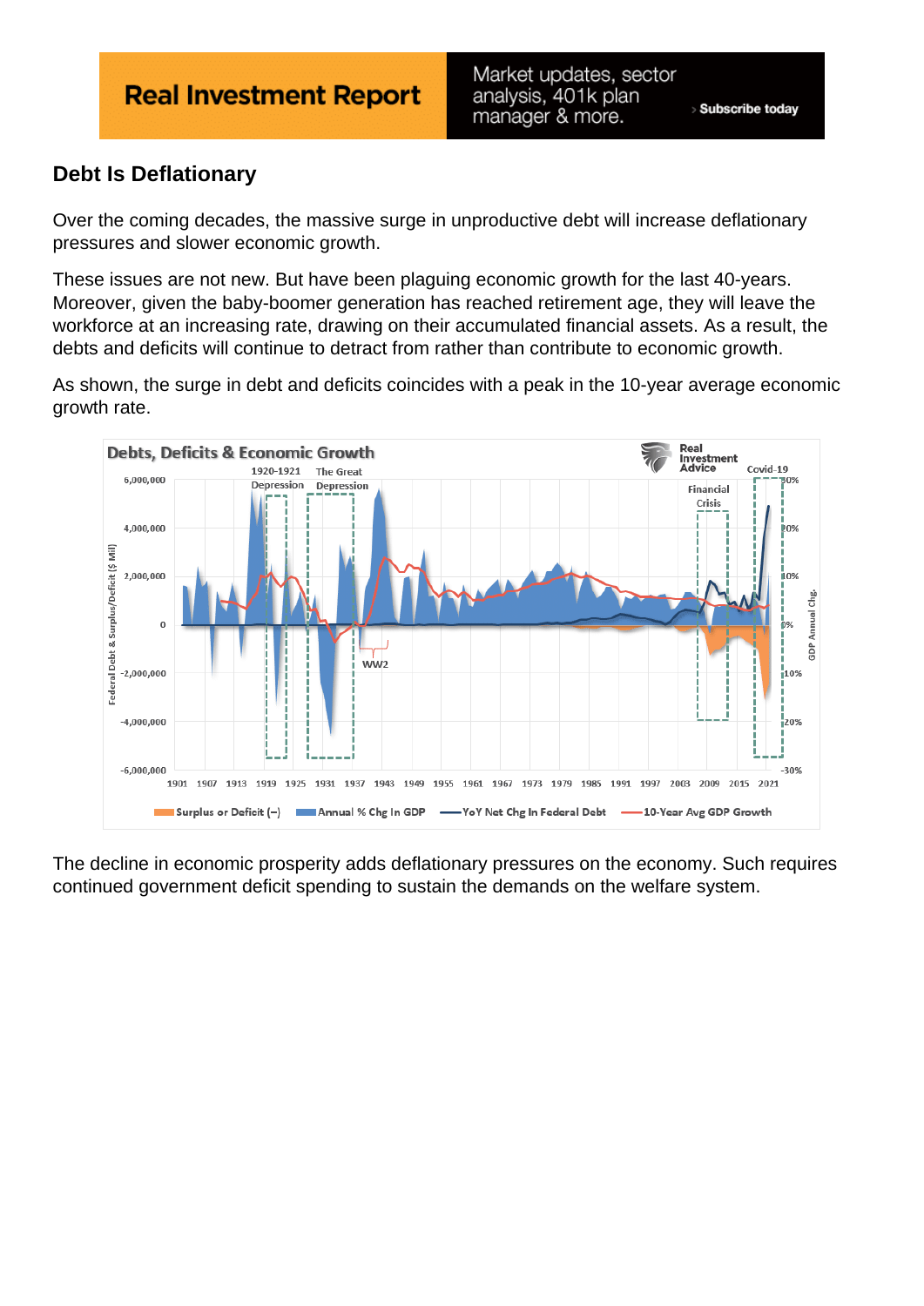## Debt Is Deflationary

Over the coming decades, the massive surge in unproductive debt will increase deflationary pressures and slower economic growth.

These issues are not new. But have been plaguing economic growth for the last 40-years. Moreover, given the baby-boomer generation has reached retirement age, they will leave the workforce at an increasing rate, drawing on their accumulated financial assets. As a result, the debts and deficits will continue to detract from rather than contribute to economic growth.

As shown, the surge in debt and deficits coincides with a peak in the 10-year average economic growth rate.

The decline in economic prosperity adds deflationary pressures on the economy. Such requires continued government deficit spending to sustain the demands on the welfare system.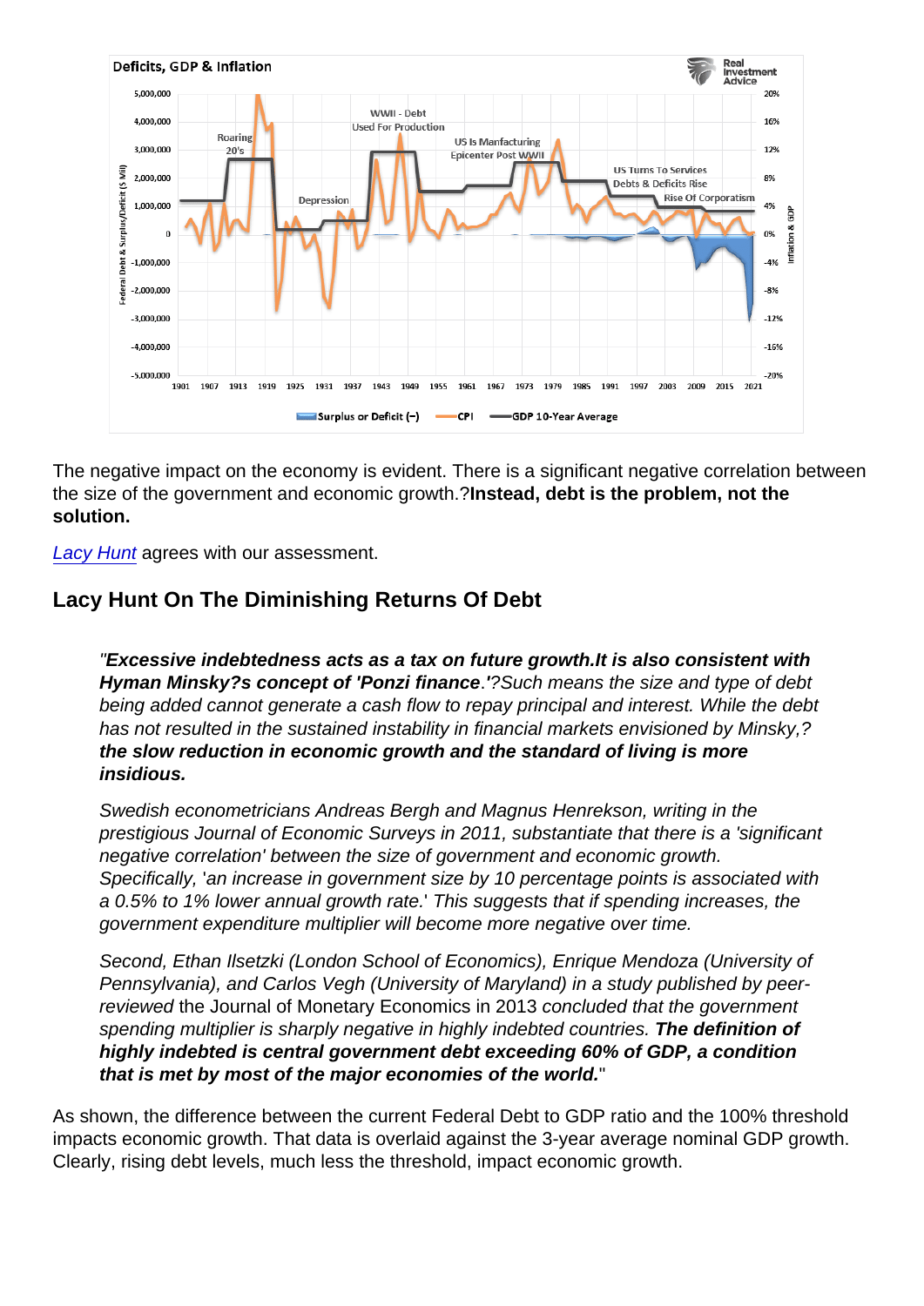The negative impact on the economy is evident. There is a significant negative correlation between the size of the government and economic growth.?Instead, debt is the problem, not the solution.

[Lacy Hunt](https://hoisington.com/pdf/HIM2021Q3NP.pdf) agrees with our assessment.

## Lacy Hunt On The Diminishing Returns Of Debt

"Excessive indebtedness acts as a tax on future growth. It is also consistent with Hyman Minsky?s concept of 'Ponzi finance .'?Such means the size and type of debt being added cannot generate a cash flow to repay principal and interest. While the debt has not resulted in the sustained instability in financial markets envisioned by Minsky,? the slow reduction in economic growth and the standard of living is more insidious.

Swedish econometricians Andreas Bergh and Magnus Henrekson, writing in the prestigious Journal of Economic Surveys in 2011, substantiate that there is a 'significant negative correlation' between the size of government and economic growth. Specifically, 'an increase in government size by 10 percentage points is associated with a 0.5% to 1% lower annual growth rate.' This suggests that if spending increases, the government expenditure multiplier will become more negative over time.

Second, Ethan Ilsetzki (London School of Economics), Enrique Mendoza (University of Pennsylvania), and Carlos Vegh (University of Maryland) in a study published by peerreviewed the Journal of Monetary Economics in 2013 concluded that the government spending multiplier is sharply negative in highly indebted countries. The definition of highly indebted is central government debt exceeding 60% of GDP, a condition that is met by most of the major economies of the world.

As shown, the difference between the current Federal Debt to GDP ratio and the 100% threshold impacts economic growth. That data is overlaid against the 3-year average nominal GDP growth. Clearly, rising debt levels, much less the threshold, impact economic growth.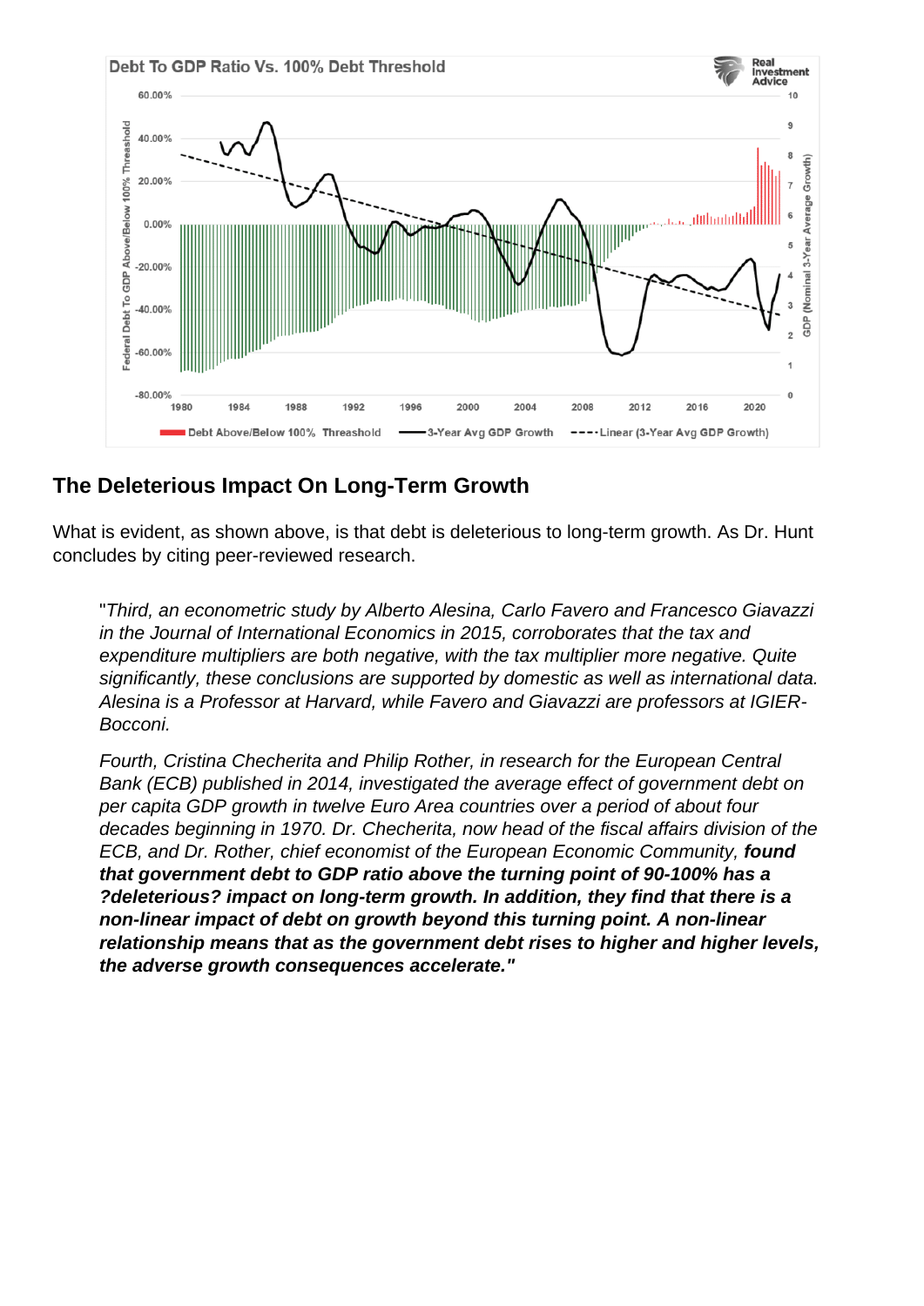## The Deleterious Impact On Long-Term Growth

What is evident, as shown above, is that debt is deleterious to long-term growth. As Dr. Hunt concludes by citing peer-reviewed research.

"Third, an econometric study by Alberto Alesina, Carlo Favero and Francesco Giavazzi in the Journal of International Economics in 2015, corroborates that the tax and expenditure multipliers are both negative, with the tax multiplier more negative. Quite significantly, these conclusions are supported by domestic as well as international data. Alesina is a Professor at Harvard, while Favero and Giavazzi are professors at IGIER-Bocconi.

Fourth, Cristina Checherita and Philip Rother, in research for the European Central Bank (ECB) published in 2014, investigated the average effect of government debt on per capita GDP growth in twelve Euro Area countries over a period of about four decades beginning in 1970. Dr. Checherita, now head of the fiscal affairs division of the ECB, and Dr. Rother, chief economist of the European Economic Community, found that government debt to GDP ratio above the turning point of 90-100% has a ?deleterious? impact on long-term growth. In addition, they find that there is a non-linear impact of debt on growth beyond this turning point. A non-linear relationship means that as the government debt rises to higher and higher levels, the adverse growth consequences accelerate."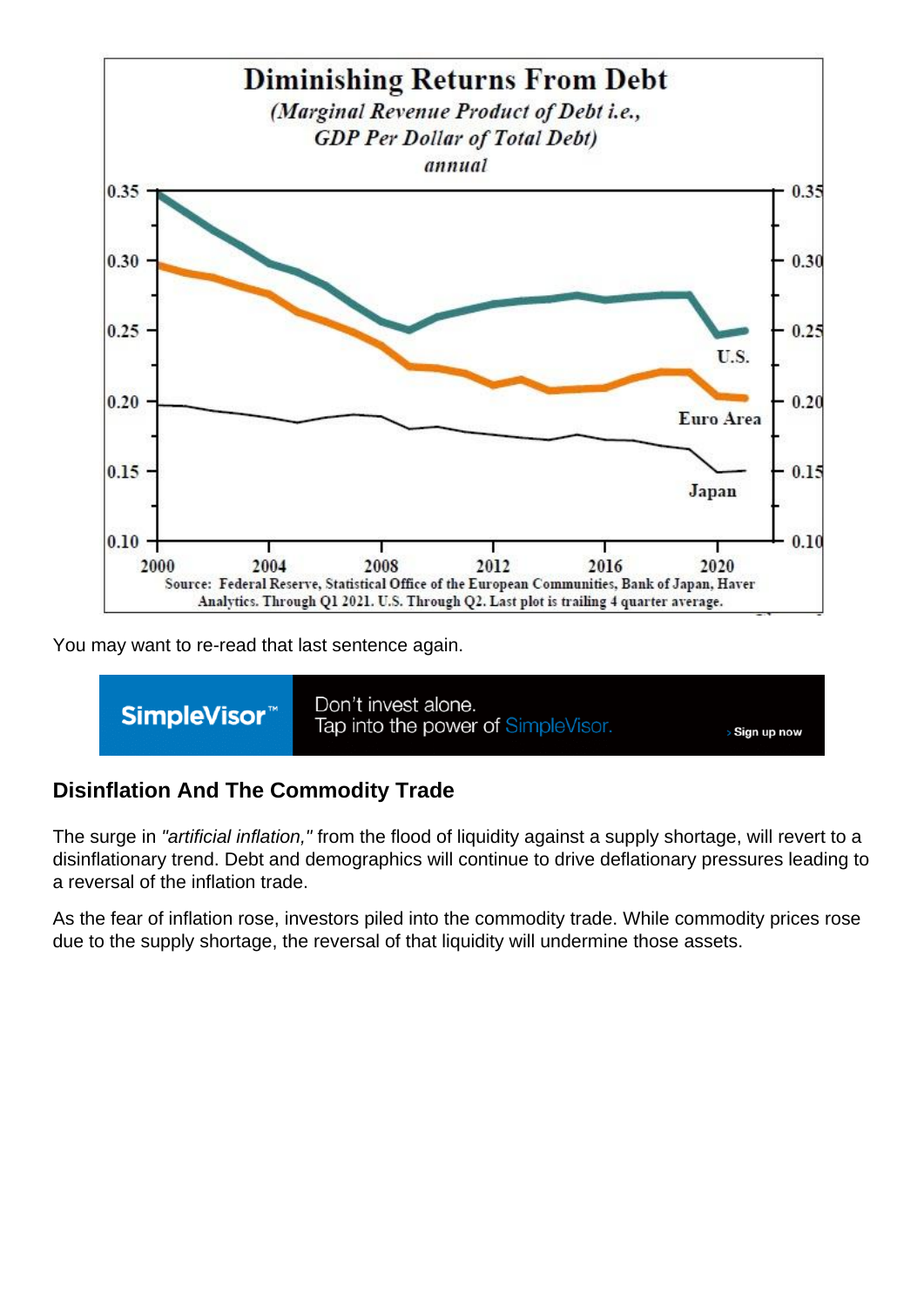You may want to re-read that last sentence again.

Disinflation And The Commodity Trade

The surge in "artificial inflation," from the flood of liquidity against a supply shortage, will revert to a disinflationary trend. Debt and demographics will continue to drive deflationary pressures leading to a reversal of the inflation trade.

As the fear of inflation rose, investors piled into the commodity trade. While commodity prices rose due to the supply shortage, the reversal of that liquidity will undermine those assets.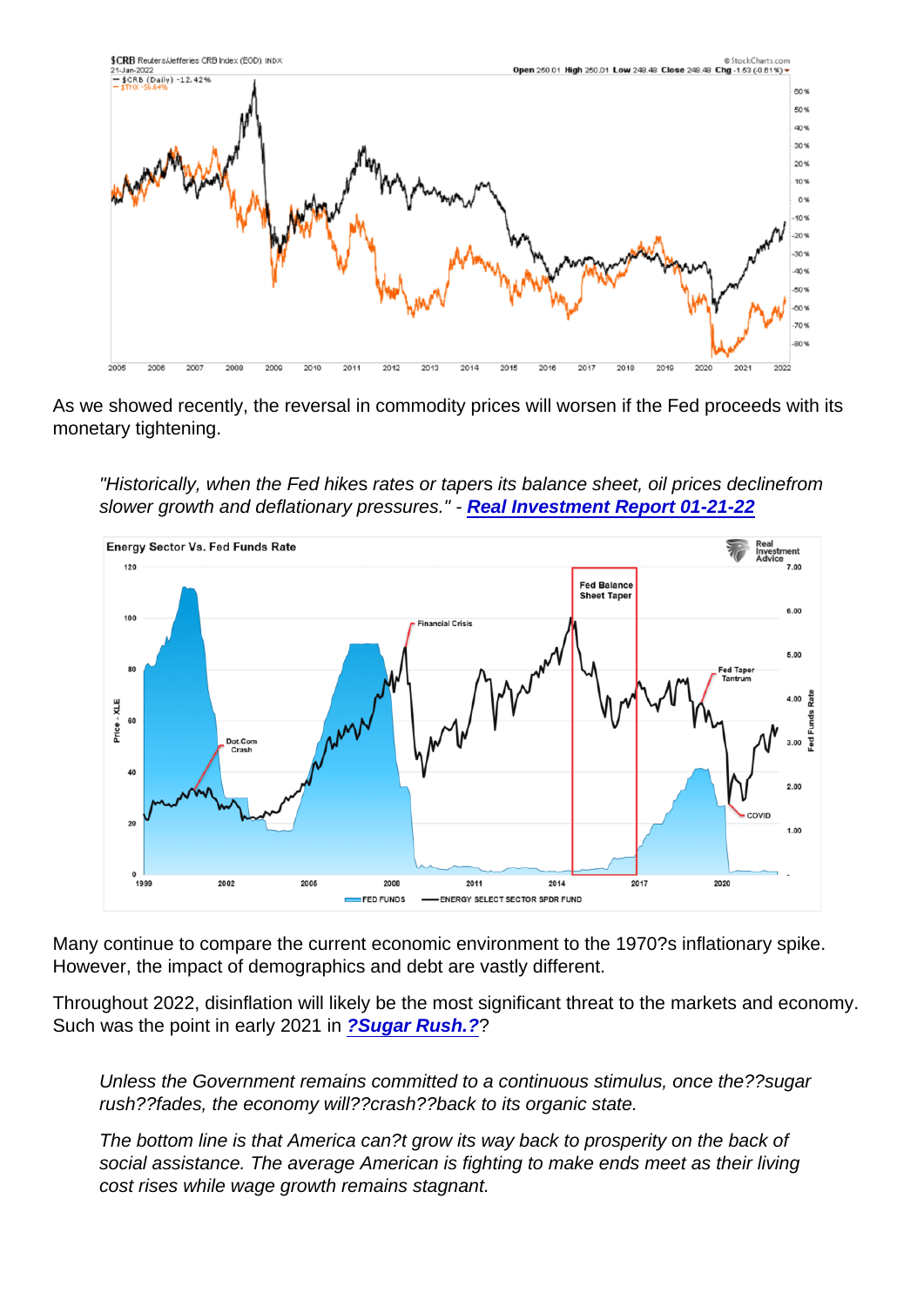As we showed recently, the reversal in commodity prices will worsen if the Fed proceeds with its monetary tightening.

"Historically, when the Fed hikes rates or tapers its balance sheet, oil prices declinefrom slower growth and deflationary pressures." - [Real Investment Report 01-21-22](https://realinvestmentadvice.com/retail-investors-panic-as-market-plunges/)

Many continue to compare the current economic environment to the 1970?s inflationary spike. However, the impact of demographics and debt are vastly different.

Throughout 2022, disinflation will likely be the most significant threat to the markets and economy. Such was the point in early 2021 in [?Sugar Rush.?](https://realinvestmentadvice.com/sugar-rush-why-the-economy-will-run-hot-then-crash/) ?

Unless the Government remains committed to a continuous stimulus, once the??sugar rush??fades, the economy will??crash??back to its organic state.

The bottom line is that America can?t grow its way back to prosperity on the back of social assistance. The average American is fighting to make ends meet as their living cost rises while wage growth remains stagnant.